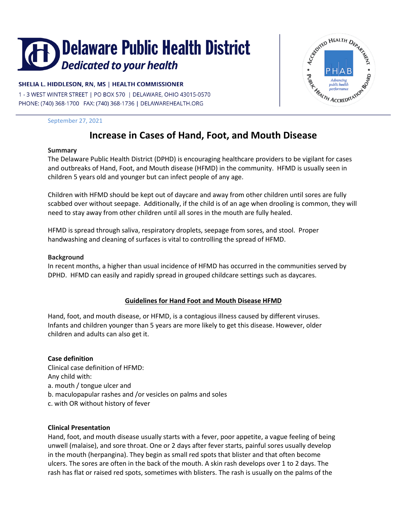# Delaware Public Health District Dedicated to your health

# SHELIA L. HIDDLESON, RN, MS | HEALTH COMMISSIONER

1 - 3 WEST WINTER STREET | PO BOX 570 | DELAWARE, OHIO 43015-0570 PHONE: (740) 368-1700 FAX: (740) 368-1736 | DELAWAREHEALTH.ORG



September 27, 2021

# **Increase in Cases of Hand, Foot, and Mouth Disease**

#### **Summary**

The Delaware Public Health District (DPHD) is encouraging healthcare providers to be vigilant for cases and outbreaks of Hand, Foot, and Mouth disease (HFMD) in the community. HFMD is usually seen in children 5 years old and younger but can infect people of any age.

Children with HFMD should be kept out of daycare and away from other children until sores are fully scabbed over without seepage. Additionally, if the child is of an age when drooling is common, they will need to stay away from other children until all sores in the mouth are fully healed.

HFMD is spread through saliva, respiratory droplets, seepage from sores, and stool. Proper handwashing and cleaning of surfaces is vital to controlling the spread of HFMD.

# **Background**

In recent months, a higher than usual incidence of HFMD has occurred in the communities served by DPHD. HFMD can easily and rapidly spread in grouped childcare settings such as daycares.

# **Guidelines for Hand Foot and Mouth Disease HFMD**

Hand, foot, and mouth disease, or HFMD, is a contagious illness caused by different viruses. Infants and children younger than 5 years are more likely to get this disease. However, older children and adults can also get it.

# **Case definition**

Clinical case definition of HFMD: Any child with: a. mouth / tongue ulcer and b. maculopapular rashes and /or vesicles on palms and soles c. with OR without history of fever

#### **Clinical Presentation**

Hand, foot, and mouth disease usually starts with a fever, poor appetite, a vague feeling of being unwell (malaise), and sore throat. One or 2 days after fever starts, painful sores usually develop in the mouth (herpangina). They begin as small red spots that blister and that often become ulcers. The sores are often in the back of the mouth. A skin rash develops over 1 to 2 days. The rash has flat or raised red spots, sometimes with blisters. The rash is usually on the palms of the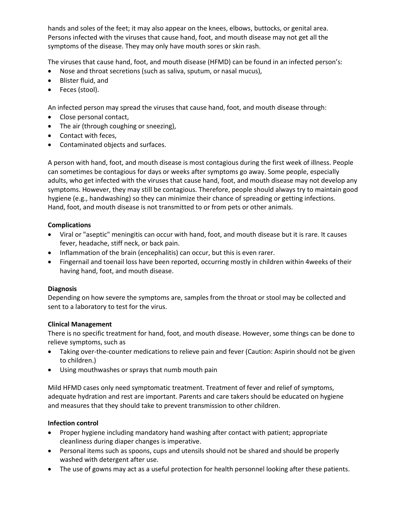hands and soles of the feet; it may also appear on the knees, elbows, buttocks, or genital area. Persons infected with the viruses that cause hand, foot, and mouth disease may not get all the symptoms of the disease. They may only have mouth sores or skin rash.

The viruses that cause hand, foot, and mouth disease (HFMD) can be found in an infected person's:

- Nose and throat secretions (such as saliva, sputum, or nasal mucus),
- Blister fluid, and
- Feces (stool).

An infected person may spread the viruses that cause hand, foot, and mouth disease through:

- Close personal contact,
- The air (through coughing or sneezing),
- Contact with feces,
- Contaminated objects and surfaces.

A person with hand, foot, and mouth disease is most contagious during the first week of illness. People can sometimes be contagious for days or weeks after symptoms go away. Some people, especially adults, who get infected with the viruses that cause hand, foot, and mouth disease may not develop any symptoms. However, they may still be contagious. Therefore, people should always try to maintain good hygiene (e.g., handwashing) so they can minimize their chance of spreading or getting infections. Hand, foot, and mouth disease is not transmitted to or from pets or other animals.

#### **Complications**

- Viral or "aseptic" meningitis can occur with hand, foot, and mouth disease but it is rare. It causes fever, headache, stiff neck, or back pain.
- Inflammation of the brain (encephalitis) can occur, but this is even rarer.
- Fingernail and toenail loss have been reported, occurring mostly in children within 4weeks of their having hand, foot, and mouth disease.

# **Diagnosis**

Depending on how severe the symptoms are, samples from the throat or stool may be collected and sent to a laboratory to test for the virus.

#### **Clinical Management**

There is no specific treatment for hand, foot, and mouth disease. However, some things can be done to relieve symptoms, such as

- Taking over-the-counter medications to relieve pain and fever (Caution: Aspirin should not be given to children.)
- Using mouthwashes or sprays that numb mouth pain

Mild HFMD cases only need symptomatic treatment. Treatment of fever and relief of symptoms, adequate hydration and rest are important. Parents and care takers should be educated on hygiene and measures that they should take to prevent transmission to other children.

# **Infection control**

- Proper hygiene including mandatory hand washing after contact with patient; appropriate cleanliness during diaper changes is imperative.
- Personal items such as spoons, cups and utensils should not be shared and should be properly washed with detergent after use.
- The use of gowns may act as a useful protection for health personnel looking after these patients.